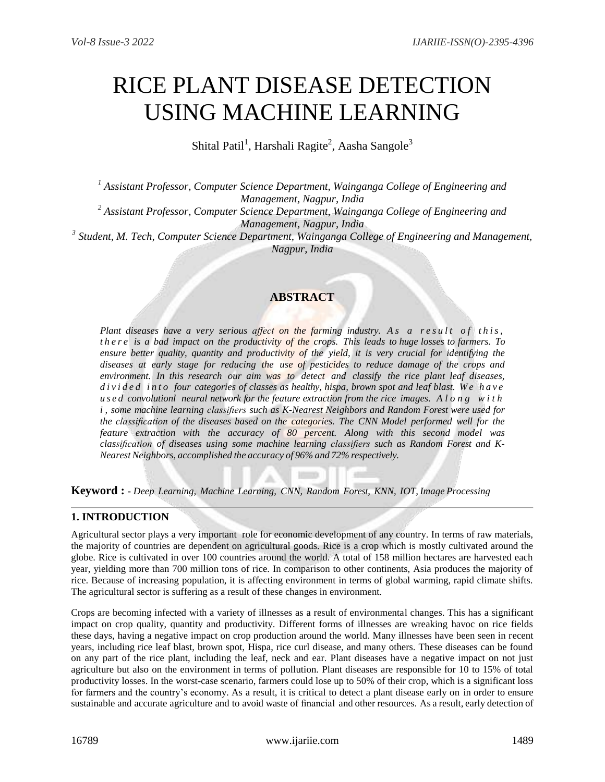# RICE PLANT DISEASE DETECTION USING MACHINE LEARNING

Shital Patil<sup>1</sup>, Harshali Ragite<sup>2</sup>, Aasha Sangole<sup>3</sup>

*<sup>1</sup> Assistant Professor, Computer Science Department, Wainganga College of Engineering and Management, Nagpur, India*

*<sup>2</sup> Assistant Professor, Computer Science Department, Wainganga College of Engineering and Management, Nagpur, India*

*3 Student, M. Tech, Computer Science Department, Wainganga College of Engineering and Management, Nagpur, India*

# **ABSTRACT**

*Plant* diseases have a very serious affect on the farming industry. As a result of this, there is a bad impact on the productivity of the crops. This leads to huge losses to farmers. To *ensure better quality, quantity and productivity of the yield, it is very crucial for identifying the diseases at early stage for reducing the use of pesticides to reduce damage of the crops and environment. In this research our aim was to detect and classify the rice plant leaf diseases, d i v i d e d i n t o four categories of classes as healthy, hispa, brown spot and leaf blast. W e h a v e u s e d convolutionl neural network for the feature extraction from the rice images. A l o n g w i t h i , some machine learning classifiers such as K-Nearest Neighbors and Random Forest were used for the classification of the diseases based on the categories. The CNN Model performed well for the feature extraction with the accuracy of 80 percent. Along with this second model was classification of diseases using some machine learning classifiers such as Random Forest and K-Nearest Neighbors, accomplished the accuracy of 96% and 72% respectively.*

**Keyword : -** *Deep Learning, Machine Learning, CNN, Random Forest, KNN, IOT, Image Processing*

## **1. INTRODUCTION**

Agricultural sector plays a very important role for economic development of any country. In terms of raw materials, the majority of countries are dependent on agricultural goods. Rice is a crop which is mostly cultivated around the globe. Rice is cultivated in over 100 countries around the world. A total of 158 million hectares are harvested each year, yielding more than 700 million tons of rice. In comparison to other continents, Asia produces the majority of rice. Because of increasing population, it is affecting environment in terms of global warming, rapid climate shifts. The agricultural sector is suffering as a result of these changes in environment.

Crops are becoming infected with a variety of illnesses as a result of environmental changes. This has a significant impact on crop quality, quantity and productivity. Different forms of illnesses are wreaking havoc on rice fields these days, having a negative impact on crop production around the world. Many illnesses have been seen in recent years, including rice leaf blast, brown spot, Hispa, rice curl disease, and many others. These diseases can be found on any part of the rice plant, including the leaf, neck and ear. Plant diseases have a negative impact on not just agriculture but also on the environment in terms of pollution. Plant diseases are responsible for 10 to 15% of total productivity losses. In the worst-case scenario, farmers could lose up to 50% of their crop, which is a significant loss for farmers and the country's economy. As a result, it is critical to detect a plant disease early on in order to ensure sustainable and accurate agriculture and to avoid waste of financial and other resources. As a result, early detection of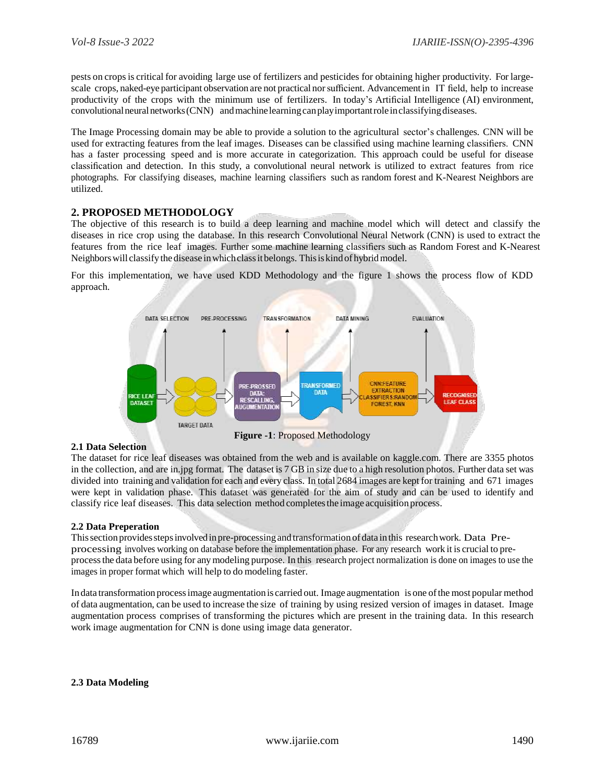pests on cropsis critical for avoiding large use of fertilizers and pesticides for obtaining higher productivity. For largescale crops, naked-eye participant observation are not practical norsufficient. Advancement in IT field, help to increase productivity of the crops with the minimum use of fertilizers. In today's Artificial Intelligence (AI) environment, convolutional neural networks (CNN) and machine learning can play important role in classifying diseases.

The Image Processing domain may be able to provide a solution to the agricultural sector's challenges. CNN will be used for extracting features from the leaf images. Diseases can be classified using machine learning classifiers. CNN has a faster processing speed and is more accurate in categorization. This approach could be useful for disease classification and detection. In this study, a convolutional neural network is utilized to extract features from rice photographs. For classifying diseases, machine learning classifiers such as random forest and K-Nearest Neighbors are utilized.

## **2. PROPOSED METHODOLOGY**

The objective of this research is to build a deep learning and machine model which will detect and classify the diseases in rice crop using the database. In this research Convolutional Neural Network (CNN) is used to extract the features from the rice leaf images. Further some machine learning classifiers such as Random Forest and K-Nearest Neighborswill classifythedisease inwhichclassitbelongs. Thisiskind ofhybridmodel.

For this implementation, we have used KDD Methodology and the figure 1 shows the process flow of KDD approach.



#### **2.1 Data Selection**

**Figure -1**: Proposed Methodology

The dataset for rice leaf diseases was obtained from the web and is available on kaggle.com. There are 3355 photos in the collection, and are in.jpg format. The dataset is 7 GB in size due to a high resolution photos. Further data set was divided into training and validation for each and every class. In total 2684 images are kept for training and 671 images were kept in validation phase. This dataset was generated for the aim of study and can be used to identify and classify rice leaf diseases. This data selection method completesthe image acquisition process.

#### **2.2 Data Preperation**

Thissection providesstepsinvolvedin pre-processing and transformation ofdata in this researchwork. Data Preprocessing involves working on database before the implementation phase. For any research work it is crucial to preprocessthe data before using for anymodeling purpose. In this research project normalization is done on images to use the images in proper format which will help to do modeling faster.

In data transformation processimage augmentation is carried out. Image augmentation is one ofthe most popular method of data augmentation, can be used to increase the size of training by using resized version of images in dataset. Image augmentation process comprises of transforming the pictures which are present in the training data. In this research work image augmentation for CNN is done using image data generator.

#### **2.3 Data Modeling**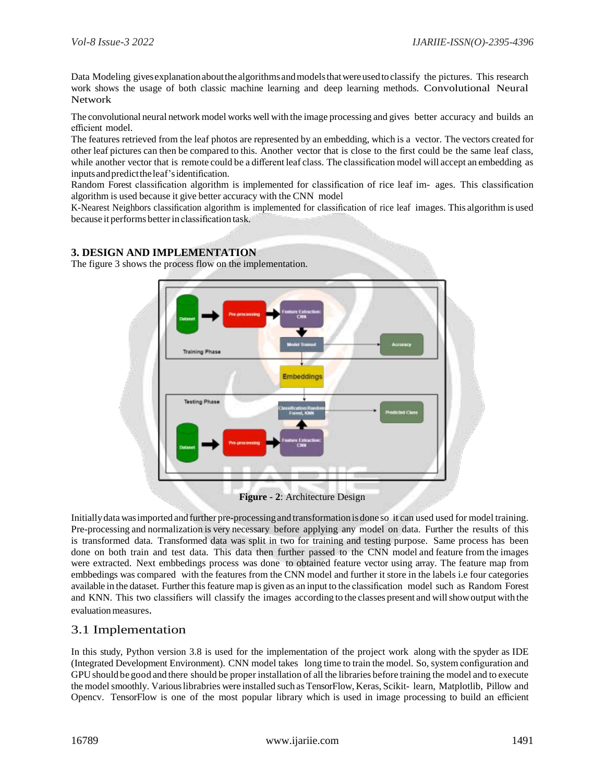Data Modeling gives explanation about the algorithms and models that were used to classify the pictures. This research work shows the usage of both classic machine learning and deep learning methods. Convolutional Neural Network

The convolutional neural network model works well with the image processing and gives better accuracy and builds an efficient model.

The features retrieved from the leaf photos are represented by an embedding, which is a vector. The vectors created for other leaf pictures can then be compared to this. Another vector that is close to the first could be the same leaf class, while another vector that is remote could be a different leaf class. The classification model will accept an embedding as inputsandpredicttheleaf'sidentification.

Random Forest classification algorithm is implemented for classification of rice leaf im- ages. This classification algorithm is used because it give better accuracy with the CNN model

K-Nearest Neighbors classification algorithm is implemented for classification of rice leaf images. This algorithm is used because it performs betterin classification task.

## **3. DESIGN AND IMPLEMENTATION**

The figure 3 shows the process flow on the implementation.



**Figure - 2**: Architecture Design

Initiallydata wasimported and further pre-processingand transformationisdone so it can used used for model training. Pre-processing and normalization is very necessary before applying any model on data. Further the results of this is transformed data. Transformed data was split in two for training and testing purpose. Same process has been done on both train and test data. This data then further passed to the CNN model and feature from the images were extracted. Next embbedings process was done to obtained feature vector using array. The feature map from embbedings was compared with the features from the CNN model and further it store in the labels i.e four categories available in the dataset. Further this feature map is given as an input to the classification model such as Random Forest and KNN. This two classifiers will classify the images according to the classes present and willshowoutput with the evaluation measures.

# 3.1 Implementation

In this study, Python version 3.8 is used for the implementation of the project work along with the spyder as IDE (Integrated Development Environment). CNN model takes long time to train the model. So, system configuration and GPUshould be good and there should be proper installation of all the libraries before training the model and to execute the model smoothly. Various librabries were installed such as TensorFlow, Keras, Scikit- learn, Matplotlib, Pillow and Opencv. TensorFlow is one of the most popular library which is used in image processing to build an efficient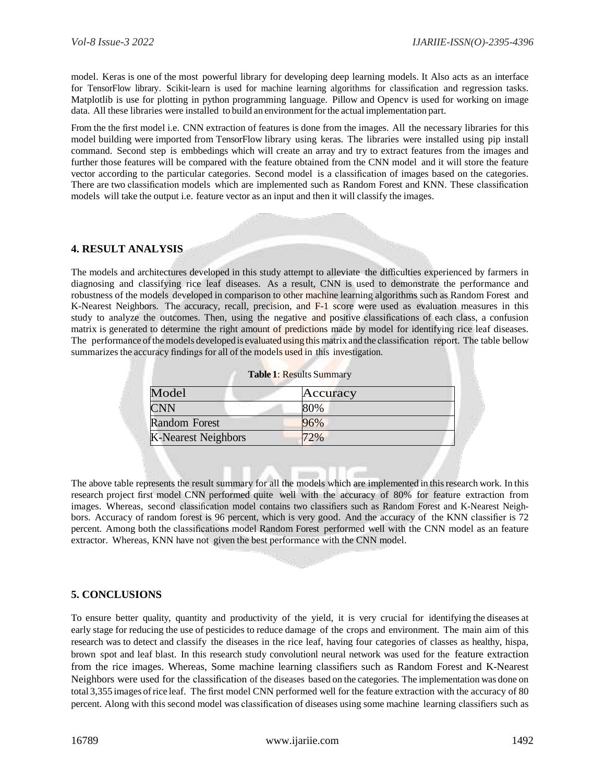model. Keras is one of the most powerful library for developing deep learning models. It Also acts as an interface for TensorFlow library. Scikit-learn is used for machine learning algorithms for classification and regression tasks. Matplotlib is use for plotting in python programming language. Pillow and Opencv is used for working on image data. All these libraries were installed to build an environment for the actual implementation part.

From the the first model i.e. CNN extraction of features is done from the images. All the necessary libraries for this model building were imported from TensorFlow library using keras. The libraries were installed using pip install command. Second step is embbedings which will create an array and try to extract features from the images and further those features will be compared with the feature obtained from the CNN model and it will store the feature vector according to the particular categories. Second model is a classification of images based on the categories. There are two classification models which are implemented such as Random Forest and KNN. These classification models will take the output i.e. feature vector as an input and then it will classify the images.

#### **4. RESULT ANALYSIS**

The models and architectures developed in this study attempt to alleviate the difficulties experienced by farmers in diagnosing and classifying rice leaf diseases. As a result, CNN is used to demonstrate the performance and robustness of the models developed in comparison to other machine learning algorithms such as Random Forest and K-Nearest Neighbors. The accuracy, recall, precision, and F-1 score were used as evaluation measures in this study to analyze the outcomes. Then, using the negative and positive classifications of each class, a confusion matrix is generated to determine the right amount of predictions made by model for identifying rice leaf diseases. The performance of the models developed is evaluated using this matrix and the classification report. The table bellow summarizes the accuracy findings for all of the models used in this investigation.

| <b>Table 1: Results Summary</b> |          |  |
|---------------------------------|----------|--|
| Model                           | Accuracy |  |
| CNN                             | 80%      |  |
| <b>Random Forest</b>            | 96%      |  |
| <b>K-Nearest Neighbors</b>      | 2%       |  |

The above table represents the result summary for all the models which are implemented in this research work. In this research project first model CNN performed quite well with the accuracy of 80% for feature extraction from images. Whereas, second classification model contains two classifiers such as Random Forest and K-Nearest Neighbors. Accuracy of random forest is 96 percent, which is very good. And the accuracy of the KNN classifier is 72 percent. Among both the classifications model Random Forest performed well with the CNN model as an feature extractor. Whereas, KNN have not given the best performance with the CNN model.

## **5. CONCLUSIONS**

To ensure better quality, quantity and productivity of the yield, it is very crucial for identifying the diseases at early stage for reducing the use of pesticides to reduce damage of the crops and environment. The main aim of this research was to detect and classify the diseases in the rice leaf, having four categories of classes as healthy, hispa, brown spot and leaf blast. In this research study convolutionl neural network was used for the feature extraction from the rice images. Whereas, Some machine learning classifiers such as Random Forest and K-Nearest Neighbors were used for the classification of the diseases based on the categories. The implementation was done on total 3,355 images ofrice leaf. The first model CNN performed well for the feature extraction with the accuracy of 80 percent. Along with this second model was classification of diseases using some machine learning classifiers such as